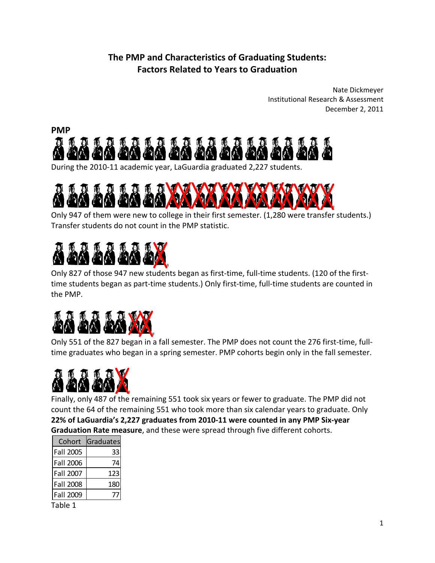## **The PMP and Characteristics of Graduating Students: Factors Related to Years to Graduation**

 Nate Dickmeyer Institutional Research & Assessment December 2, 2011





 Only 947 of them were new to college in their first semester. (1,280 were transfer students.) Transfer students do not count in the PMP statistic.

## <u>in the second the second the property of the second second the second second second second second second second second second second second second second second second second second second second second second second seco</u>

 Only 827 of those 947 new students began as first‐time, full‐time students. (120 of the first‐ time students began as part‐time students.) Only first‐time, full‐time students are counted in the PMP.



 Only 551 of the 827 began in a fall semester. The PMP does not count the 276 first‐time, full‐ time graduates who began in a spring semester. PMP cohorts begin only in the fall semester.



 Finally, only 487 of the remaining 551 took six years or fewer to graduate. The PMP did not count the 64 of the remaining 551 who took more than six calendar years to graduate. Only 22% of LaGuardia's 2,227 graduates from 2010-11 were counted in any PMP Six-year  **Graduation Rate measure**, and these were spread through five different cohorts.

| Cohort           | Graduates |
|------------------|-----------|
| Fall 2005        | 33        |
| Fall 2006        | 74        |
| Fall 2007        | 123       |
| <b>Fall 2008</b> | 180       |
| Fall 2009        |           |

Table 1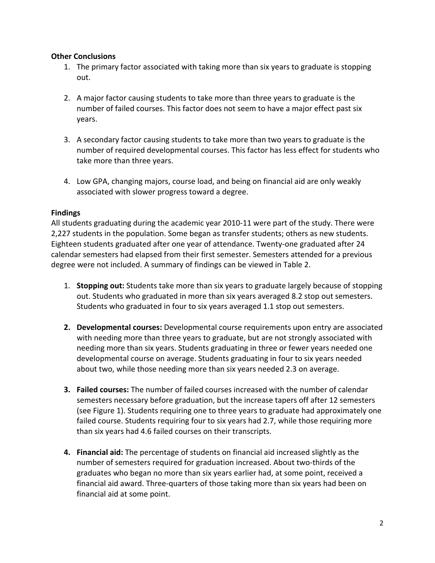## **Other Conclusions**

- 1. The primary factor associated with taking more than six years to graduate is stopping out.
- 2. A major factor causing students to take more than three years to graduate is the number of failed courses. This factor does not seem to have a major effect past six years.
- 3. A secondary factor causing students to take more than two years to graduate is the number of required developmental courses. This factor has less effect for students who take more than three years.
- 4. Low GPA, changing majors, course load, and being on financial aid are only weakly associated with slower progress toward a degree.

## **Findings**

 All students graduating during the academic year 2010‐11 were part of the study. There were 2,227 students in the population. Some began as transfer students; others as new students. Eighteen students graduated after one year of attendance. Twenty‐one graduated after 24 calendar semesters had elapsed from their first semester. Semesters attended for a previous degree were not included. A summary of findings can be viewed in Table 2.

- 1. **Stopping out:** Students take more than six years to graduate largely because of stopping out. Students who graduated in more than six years averaged 8.2 stop out semesters. Students who graduated in four to six years averaged 1.1 stop out semesters.
- **2. Developmental courses:** Developmental course requirements upon entry are associated with needing more than three years to graduate, but are not strongly associated with needing more than six years. Students graduating in three or fewer years needed one developmental course on average. Students graduating in four to six years needed about two, while those needing more than six years needed 2.3 on average.
- **3. Failed courses:** The number of failed courses increased with the number of calendar semesters necessary before graduation, but the increase tapers off after 12 semesters (see Figure 1). Students requiring one to three years to graduate had approximately one failed course. Students requiring four to six years had 2.7, while those requiring more than six years had 4.6 failed courses on their transcripts.
- **4. Financial aid:** The percentage of students on financial aid increased slightly as the number of semesters required for graduation increased. About two‐thirds of the graduates who began no more than six years earlier had, at some point, received a financial aid award. Three‐quarters of those taking more than six years had been on financial aid at some point.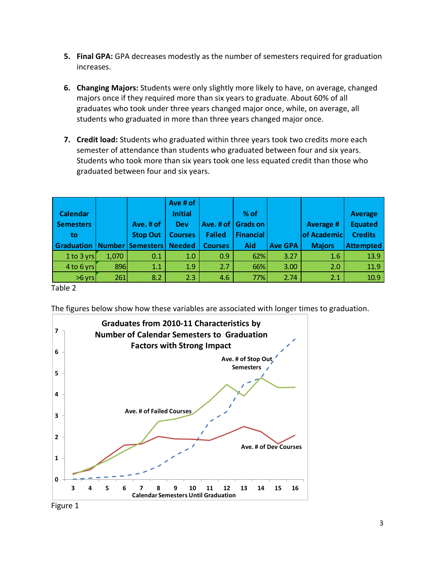- **5. Final GPA:** GPA decreases modestly as the number of semesters required for graduation increases.
- **6. Changing Majors:** Students were only slightly more likely to have, on average, changed majors once if they required more than six years to graduate. About 60% of all graduates who took under three years changed major once, while, on average, all students who graduated in more than three years changed major once.
- **7. Credit load:** Students who graduated within three years took two credits more each semester of attendance than students who graduated between four and six years. Students who took more than six years took one less equated credit than those who graduated between four and six years.

| <b>Calendar</b><br><b>Semesters</b><br>to |       | Ave. # of<br><b>Stop Out</b> | Ave # of<br><b>Initial</b><br><b>Dev</b><br><b>Courses</b> | Ave. # of<br><b>Failed</b> | $%$ of<br><b>Grads on</b><br><b>Financial</b> |                | <b>Average #</b><br>of Academic | <b>Average</b><br><b>Equated</b><br><b>Credits</b> |
|-------------------------------------------|-------|------------------------------|------------------------------------------------------------|----------------------------|-----------------------------------------------|----------------|---------------------------------|----------------------------------------------------|
| Graduation                                |       | Number   Semesters           | <b>Needed</b>                                              | <b>Courses</b>             | Aid                                           | <b>Ave GPA</b> | <b>Majors</b>                   | <b>Attempted</b>                                   |
| 1 to 3 yrs                                | 1,070 | 0.1                          | 1.0                                                        | 0.9                        | 62%                                           | 3.27           | 1.6                             | 13.9                                               |
| $4$ to 6 yrs                              | 896   | 1.1                          | 1.9                                                        | 2.7                        | 66%                                           | 3.00           | 2.0                             | 11.9                                               |
| $>6$ yrs                                  | 261   | 8.2                          | 2.3                                                        | 4.6                        | 77%                                           | 2.74           | 2.1                             | 10.9                                               |

Table 2

The figures below show how these variables are associated with longer times to graduation.